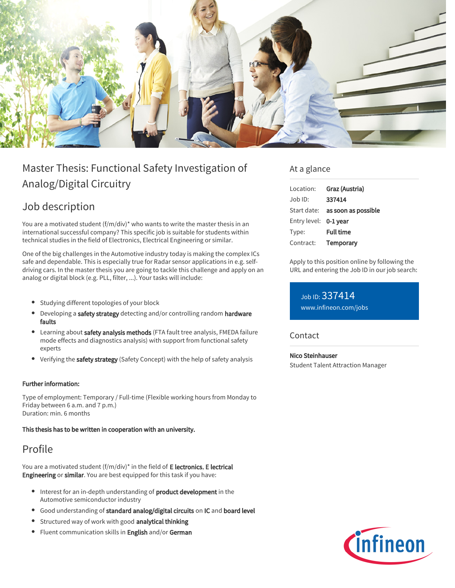

# Master Thesis: Functional Safety Investigation of Analog/Digital Circuitry

## Job description

You are a motivated student (f/m/div)\* who wants to write the master thesis in an international successful company? This specific job is suitable for students within technical studies in the field of Electronics, Electrical Engineering or similar.

One of the big challenges in the Automotive industry today is making the complex ICs safe and dependable. This is especially true for Radar sensor applications in e.g. selfdriving cars. In the master thesis you are going to tackle this challenge and apply on an analog or digital block (e.g. PLL, filter, ...). Your tasks will include:

- Studying different topologies of your block
- Developing a safety strategy detecting and/or controlling random hardware faults
- **•** Learning about safety analysis methods (FTA fault tree analysis, FMEDA failure mode effects and diagnostics analysis) with support from functional safety experts
- Verifying the safety strategy (Safety Concept) with the help of safety analysis

#### Further information:

Type of employment: Temporary / Full-time (Flexible working hours from Monday to Friday between 6 a.m. and 7 p.m.) Duration: min. 6 months

#### This thesis has to be written in cooperation with an university.

## Profile

You are a motivated student  $(f/m/div)^*$  in the field of E lectronics, E lectrical Engineering or similar. You are best equipped for this task if you have:

- Interest for an in-depth understanding of **product development** in the Automotive semiconductor industry
- Good understanding of standard analog/digital circuits on IC and board level
- **Structured way of work with good analytical thinking**
- Fluent communication skills in English and/or German

### At a glance

| Location:             | Graz (Austria)                         |
|-----------------------|----------------------------------------|
| $Job$ ID:             | 337414                                 |
|                       | Start date: <b>as soon as possible</b> |
| Entry level: 0-1 year |                                        |
| Type:                 | <b>Full time</b>                       |
| Contract:             | Temporary                              |

Apply to this position online by following the URL and entering the Job ID in our job search:

Job ID: 337414 [www.infineon.com/jobs](https://www.infineon.com/jobs)

#### **Contact**

Nico Steinhauser Student Talent Attraction Manager